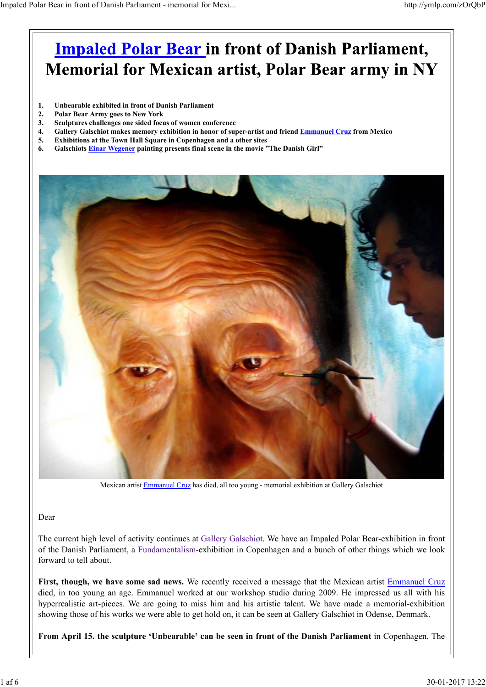## **Impaled Polar Bear in front of Danish Parliament, Memorial for Mexican artist, Polar Bear army in NY**

- **1. Unbearable exhibited in front of Danish Parliament**
- **2. Polar Bear Army goes to New York**
- **3. Sculptures challenges one sided focus of women conference**
- **4. Gallery Galschiøt makes memory exhibition in honor of super-artist and friend Emmanuel Cruz from Mexico**
- **5. Exhibitions at the Town Hall Square in Copenhagen and a other sites**
- **6. Galschiøts Einar Wegener painting presents final scene in the movie "The Danish Girl"**



Mexican artist Emmanuel Cruz has died, all too young - memorial exhibition at Gallery Galschiøt

#### Dear

The current high level of activity continues at Gallery Galschiøt. We have an Impaled Polar Bear-exhibition in front of the Danish Parliament, a Fundamentalism-exhibition in Copenhagen and a bunch of other things which we look forward to tell about.

**First, though, we have some sad news.** We recently received a message that the Mexican artist Emmanuel Cruz died, in too young an age. Emmanuel worked at our workshop studio during 2009. He impressed us all with his hyperrealistic art-pieces. We are going to miss him and his artistic talent. We have made a memorial-exhibition showing those of his works we were able to get hold on, it can be seen at Gallery Galschiøt in Odense, Denmark.

**From April 15. the sculpture 'Unbearable' can be seen in front of the Danish Parliament** in Copenhagen. The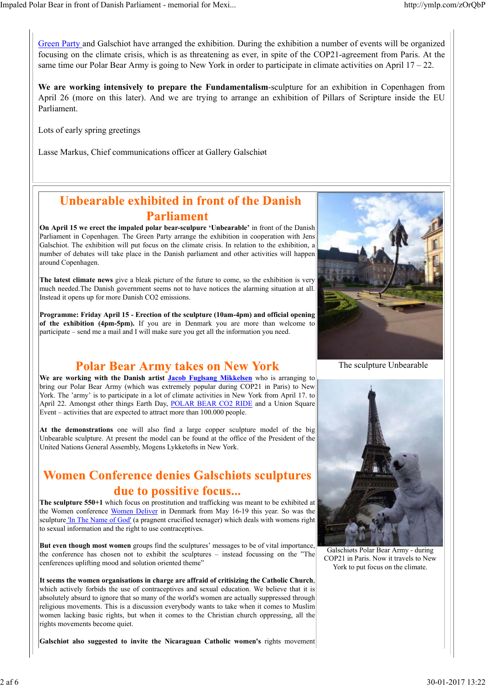Green Party and Galschiot have arranged the exhibition. During the exhibition a number of events will be organized focusing on the climate crisis, which is as threatening as ever, in spite of the COP21-agreement from Paris. At the same time our Polar Bear Army is going to New York in order to participate in climate activities on April  $17 - 22$ .

**We are working intensively to prepare the Fundamentalism**-sculpture for an exhibition in Copenhagen from April 26 (more on this later). And we are trying to arrange an exhibition of Pillars of Scripture inside the EU Parliament.

Lots of early spring greetings

Lasse Markus, Chief communications officer at Gallery Galschiøt

#### **Unbearable exhibited in front of the Danish Parliament**

**On April 15 we erect the impaled polar bear-sculpure 'Unbearable'** in front of the Danish Parliament in Copenhagen. The Green Party arrange the exhibition in cooperation with Jens Galschiot. The exhibition will put focus on the climate crisis. In relation to the exhibition, a number of debates will take place in the Danish parliament and other activities will happen around Copenhagen.

**The latest climate news** give a bleak picture of the future to come, so the exhibition is very much needed.The Danish government seems not to have notices the alarming situation at all. Instead it opens up for more Danish CO2 emissions.

**Programme: Friday April 15 - Erection of the sculpture (10am-4pm) and official opening of the exhibition (4pm-5pm).** If you are in Denmark you are more than welcome to participate – send me a mail and I will make sure you get all the information you need.

#### **Polar Bear Army takes on New York**

**We are working with the Danish artist Jacob Fuglsang Mikkelsen** who is arranging to bring our Polar Bear Army (which was extremely popular during COP21 in Paris) to New York. The 'army' is to participate in a lot of climate activities in New York from April 17. to April 22. Amongst other things Earth Day, POLAR BEAR CO2 RIDE and a Union Square Event – activities that are expected to attract more than 100.000 people.

**At the demonstrations** one will also find a large copper sculpture model of the big Unbearable sculpture. At present the model can be found at the office of the President of the United Nations General Assembly, Mogens Lykketofts in New York.

### **Women Conference denies Galschiøts sculptures** due to possitive focus...

**The sculpture 550+1** which focus on prostitution and trafficking was meant to be exhibited at the Women conference Women Deliver in Denmark from May 16-19 this year. So was the sculpture 'In The Name of God' (a pragnent crucified teenager) which deals with womens right to sexual information and the right to use contraceptives.

**But even though most women** groups find the sculptures' messages to be of vital importance, the conference has chosen not to exhibit the sculptures – instead focussing on the "The cenferences uplifting mood and solution oriented theme"

**It seems the women organisations in charge are affraid of critisizing the Catholic Church**, which actively forbids the use of contraceptives and sexual education. We believe that it is absolutely absurd to ignore that so many of the world's women are actually suppressed through religious movements. This is a discussion everybody wants to take when it comes to Muslim women lacking basic rights, but when it comes to the Christian church oppressing, all the rights movements become quiet.

**Galschiøt also suggested to invite the Nicaraguan Catholic women's** rights movement



The sculpture Unbearable



Galschiøts Polar Bear Army - during COP21 in Paris. Now it travels to New York to put focus on the climate.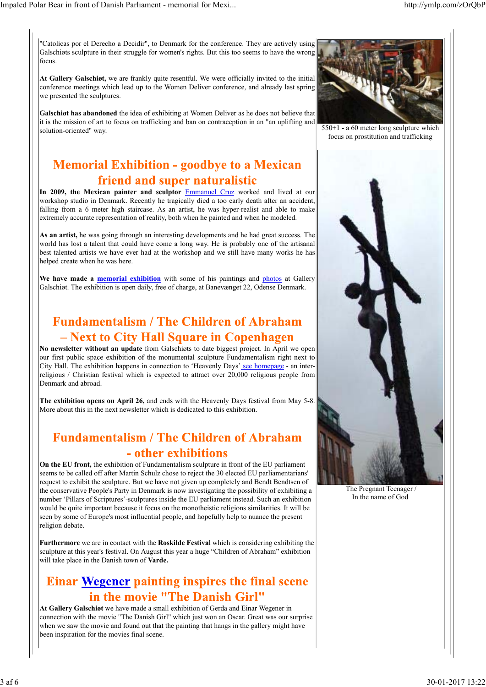"Catolicas por el Derecho a Decidir", to Denmark for the conference. They are actively using Galschiøts sculpture in their struggle for women's rights. But this too seems to have the wrong focus.

**At Gallery Galschiøt,** we are frankly quite resentful. We were officially invited to the initial conference meetings which lead up to the Women Deliver conference, and already last spring we presented the sculptures.

**Galschiøt has abandoned** the idea of exhibiting at Women Deliver as he does not believe that it is the mission of art to focus on trafficking and ban on contraception in an "an uplifting and solution-oriented" way.

## **Memorial Exhibition - goodbye to a Mexican** friend and super naturalistic

**In 2009, the Mexican painter and sculptor** Emmanuel Cruz worked and lived at our workshop studio in Denmark. Recently he tragically died a too early death after an accident, falling from a 6 meter high staircase. As an artist, he was hyper-realist and able to make extremely accurate representation of reality, both when he painted and when he modeled.

**As an artist,** he was going through an interesting developments and he had great success. The world has lost a talent that could have come a long way. He is probably one of the artisanal best talented artists we have ever had at the workshop and we still have many works he has helped create when he was here.

**We have made a memorial exhibition** with some of his paintings and photos at Gallery Galschiøt. The exhibition is open daily, free of charge, at Banevænget 22, Odense Denmark.

### **Fundamentalism / The Children of Abraham** - Next to City Hall Square in Copenhagen

**No newsletter without an update** from Galschiøts to date biggest project. In April we open our first public space exhibition of the monumental sculpture Fundamentalism right next to City Hall. The exhibition happens in connection to 'Heavenly Days' see homepage - an interreligious / Christian festival which is expected to attract over 20,000 religious people from Denmark and abroad.

**The exhibition opens on April 26,** and ends with the Heavenly Days festival from May 5-8. More about this in the next newsletter which is dedicated to this exhibition.

### **Fundamentalism / The Children of Abraham** - other exhibitions

**On the EU front,** the exhibition of Fundamentalism sculpture in front of the EU parliament seems to be called off after Martin Schulz chose to reject the 30 elected EU parliamentarians' request to exhibit the sculpture. But we have not given up completely and Bendt Bendtsen of the conservative People's Party in Denmark is now investigating the possibility of exhibiting a number 'Pillars of Scriptures'-sculptures inside the EU parliament instead. Such an exhibition would be quite important because it focus on the monotheistic religions similarities. It will be seen by some of Europe's most influential people, and hopefully help to nuance the present religion debate.

**Furthermore** we are in contact with the **Roskilde Festiva**l which is considering exhibiting the sculpture at this year's festival. On August this year a huge "Children of Abraham" exhibition will take place in the Danish town of **Varde.**

### Einar Wegener painting inspires the final scene in the movie "The Danish Girl"

**At Gallery Galschiøt** we have made a small exhibition of Gerda and Einar Wegener in connection with the movie "The Danish Girl" which just won an Oscar. Great was our surprise when we saw the movie and found out that the painting that hangs in the gallery might have been inspiration for the movies final scene.



 $550+1$  - a 60 meter long sculpture which focus on prostitution and trafficking



 The Pregnant Teenager / In the name of God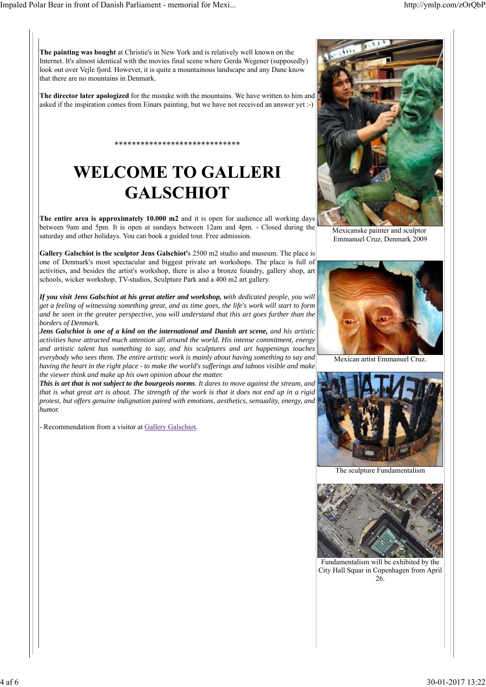**The painting was bought** at Christie's in New York and is relatively well known on the Internet. It's almost identical with the movies final scene where Gerda Wegener (supposedly) look out over Vejle fjord. However, it is quite a mountainous landscape and any Dane know that there are no mountains in Denmark.

**The director later apologized** for the mistake with the mountains. We have written to him and asked if the inspiration comes from Einars painting, but we have not received an answer yet :-)

# **WELCOME TO GALLERI GALSCHIOT**

\*\*\*\*\*\*\*\*\*\*\*\*\*\*\*\*\*\*\*\*\*\*\*\*\*\*\*\*\*

**The entire area is approximately 10.000 m2** and it is open for audience all working days between 9am and 5pm. It is open at sundays between 12am and 4pm. - Closed during the saturday and other holidays. You can book a guided tour. Free admission.

**Gallery Galschiot is the sculptor Jens Galschiot'**s 2500 m2 studio and museum. The place is one of Denmark's most spectacular and biggest private art workshops. The place is full of activities, and besides the artist's workshop, there is also a bronze foundry, gallery shop, art schools, wicker workshop, TV-studios, Sculpture Park and a 400 m2 art gallery.

*If you visit Jens Galschiot at his great atelier and workshop, with dedicated people, you will get a feeling of witnessing something great, and as time goes, the life's work will start to form and be seen in the greater perspective, you will understand that this art goes further than the borders of Denmark.*

*Jens Galschiot is one of a kind on the international and Danish art scene, and his artistic activities have attracted much attention all around the world. His intense commitment, energy and artistic talent has something to say, and his sculptures and art happenings touches everybody who sees them. The entire artistic work is mainly about having something to say and having the heart in the right place - to make the world's sufferings and taboos visible and make the viewer think and make up his own opinion about the matter.*

*This is art that is not subject to the bourgeois norms. It dares to move against the stream, and that is what great art is about. The strength of the work is that it does not end up in a rigid protest, but offers genuine indignation paired with emotions, aesthetics, sensuality, energy, and humor.*

Recommendation from a visitor at Gallery Galschiot.



Mexicanske painter and sculptor Emmanuel Cruz, Denmark 2009



Mexican artist Emmanuel Cruz.



The sculpture Fundamentalism



Fundamentalism will be exhibited by the City Hall Squar in Copenhagen from April 26.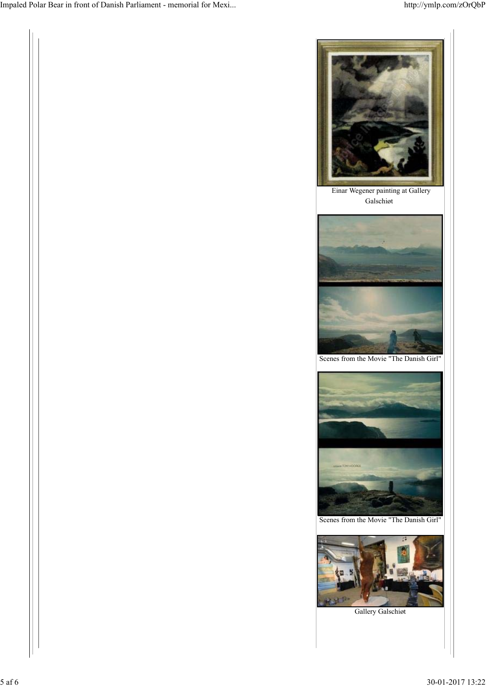

武が

Gallery Galschiøt